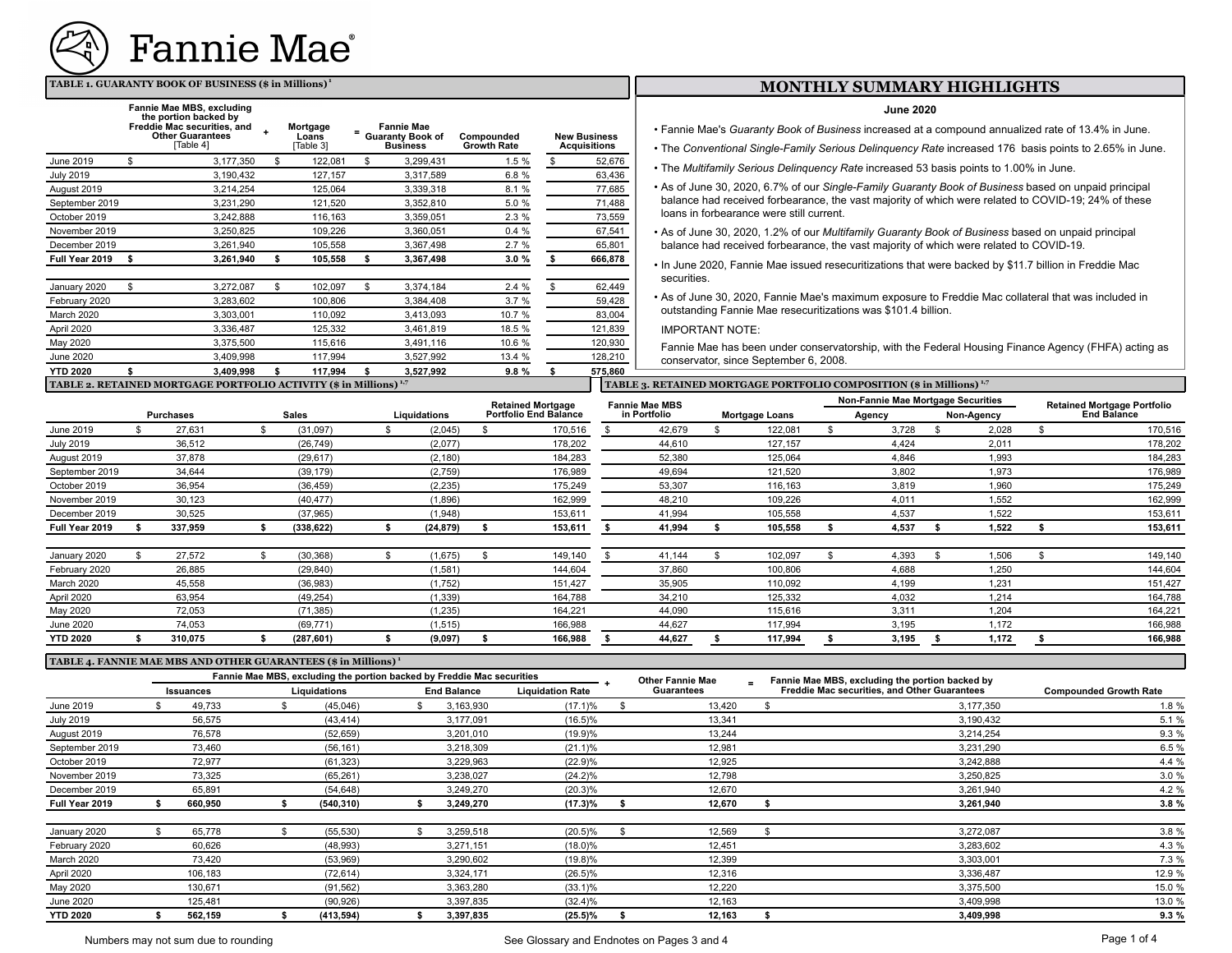

### **TABLE 1. GUARANTY BOOK OF BUSINESS (\$ in Millions)<sup>1</sup>**

|                  | Fannie Mae MBS, excluding<br>the portion backed by<br>Freddie Mac securities, and<br><b>Other Guarantees</b><br>[Table 4] | Mortgage<br>Loans<br>[Table 3] | <b>Fannie Mae</b><br><b>Guaranty Book of</b><br><b>Business</b> | Compounded<br><b>Growth Rate</b> | <b>New Business</b><br><b>Acquisitions</b> | <b>June 2020</b><br>• Fannie Mae's Guaranty Book of Business increased at a compound<br>• The Conventional Single-Family Serious Delinguency Rate increase |
|------------------|---------------------------------------------------------------------------------------------------------------------------|--------------------------------|-----------------------------------------------------------------|----------------------------------|--------------------------------------------|------------------------------------------------------------------------------------------------------------------------------------------------------------|
| June 2019        | 3,177,350                                                                                                                 | 122,081                        | 3,299,431                                                       | 1.5%                             | 52,676                                     |                                                                                                                                                            |
| <b>July 2019</b> | 3,190,432                                                                                                                 | 127,157                        | 3,317,589                                                       | 6.8%                             | 63,436                                     | • The Multifamily Serious Delinquency Rate increased 53 basis points                                                                                       |
| August 2019      | 3,214,254                                                                                                                 | 125,064                        | 3,339,318                                                       | 8.1 %                            | 77,685                                     | • As of June 30, 2020, 6.7% of our Single-Family Guaranty Book of B                                                                                        |
| September 2019   | 3,231,290                                                                                                                 | 121,520                        | 3,352,810                                                       | 5.0 %                            | 71,488                                     | balance had received forbearance, the vast majority of which were re                                                                                       |
| October 2019     | 3,242,888                                                                                                                 | 116,163                        | 3,359,051                                                       | 2.3%                             | 73,559                                     | loans in forbearance were still current.                                                                                                                   |
| November 2019    | 3,250,825                                                                                                                 | 109.226                        | 3,360,051                                                       | 0.4%                             | 67,541                                     | • As of June 30, 2020, 1.2% of our Multifamily Guaranty Book of Busin                                                                                      |
| December 2019    | 3,261,940                                                                                                                 | 105,558                        | 3,367,498                                                       | 2.7%                             | 65,801                                     | balance had received forbearance, the vast majority of which were re                                                                                       |
| Full Year 2019   | 3,261,940                                                                                                                 | 105,558                        | 3,367,498                                                       | 3.0%                             | 666,878                                    | • In June 2020, Fannie Mae issued resecuritizations that were backed                                                                                       |
|                  |                                                                                                                           |                                |                                                                 |                                  |                                            | securities.                                                                                                                                                |
| January 2020     | 3,272,087                                                                                                                 | 102,097                        | 3,374,184                                                       | 2.4%                             | 62,449                                     |                                                                                                                                                            |
| February 2020    | 3,283,602                                                                                                                 | 100,806                        | 3,384,408                                                       | 3.7%                             | 59,428                                     | • As of June 30, 2020, Fannie Mae's maximum exposure to Freddie M                                                                                          |
| March 2020       | 3,303,001                                                                                                                 | 110,092                        | 3,413,093                                                       | 10.7 %                           | 83,004                                     | outstanding Fannie Mae resecuritizations was \$101.4 billion.                                                                                              |
| April 2020       | 3,336,487                                                                                                                 | 125,332                        | 3,461,819                                                       | 18.5 %                           | 121,839                                    | <b>IMPORTANT NOTE:</b>                                                                                                                                     |
| May 2020         | 3,375,500                                                                                                                 | 115,616                        | 3,491,116                                                       | 10.6 %                           | 120,930                                    | Fannie Mae has been under conservatorship, with the Federal Hous                                                                                           |
| <b>June 2020</b> | 3,409,998                                                                                                                 | 117,994                        | 3,527,992                                                       | 13.4 %                           | 128,210                                    | conservator, since September 6, 2008.                                                                                                                      |
| <b>YTD 2020</b>  | 3.409.998                                                                                                                 | 117,994                        | 3,527,992                                                       | 9.8%                             | 575,860                                    |                                                                                                                                                            |
|                  | TABLE 2. RETAINED MORTGAGE PORTFOLIO ACTIVITY (\$ in Millions) <sup>1,7</sup>                                             |                                |                                                                 |                                  |                                            | TABLE 3. RETAINED MORTGAGE PORTFOLIO COMPOSITION (\$ in Millions) <sup>1,7</sup>                                                                           |

#### **MONTHLY SUMMARY HIGHLIGHTS**

#### **June 2020**

• Fannie Mae's *Guaranty Book of Business* increased at a compound annualized rate of 13.4% in June.

- The *Conventional Single-Family Serious Delinquency Rate* increased 176 basis points to 2.65% in June.
- The *Multifamily Serious Delinquency Rate* increased 53 basis points to 1.00% in June.
- As of June 30, 2020, 6.7% of our *Single-Family Guaranty Book of Business* based on unpaid principal balance had received forbearance, the vast majority of which were related to COVID-19; 24% of these loans in forbearance were still current.
- As of June 30, 2020, 1.2% of our *Multifamily Guaranty Book of Business* based on unpaid principal balance had received forbearance, the vast majority of which were related to COVID-19.
- In June 2020, Fannie Mae issued resecuritizations that were backed by \$11.7 billion in Freddie Mac securities.
- As of June 30, 2020, Fannie Mae's maximum exposure to Freddie Mac collateral that was included in outstanding Fannie Mae resecuritizations was \$101.4 billion.

#### IMPORTANT NOTE:

Fannie Mae has been under conservatorship, with the Federal Housing Finance Agency (FHFA) acting as conservator, since September 6, 2008.

|                   |  |                  |  |            |                                                   |              |  |                              | mone were non-one out one come compared to manufacture |              |                                    |                       |                                    |       |  |       |  |            |                    |  |
|-------------------|--|------------------|--|------------|---------------------------------------------------|--------------|--|------------------------------|--------------------------------------------------------|--------------|------------------------------------|-----------------------|------------------------------------|-------|--|-------|--|------------|--------------------|--|
|                   |  |                  |  |            | <b>Fannie Mae MBS</b><br><b>Retained Mortgage</b> |              |  |                              |                                                        |              | Non-Fannie Mae Mortgage Securities |                       | <b>Retained Mortgage Portfolio</b> |       |  |       |  |            |                    |  |
|                   |  | <b>Purchases</b> |  | Sales      |                                                   | Liquidations |  | <b>Portfolio End Balance</b> |                                                        | in Portfolio |                                    | <b>Mortgage Loans</b> | Agency                             |       |  |       |  | Non-Agency | <b>End Balance</b> |  |
| June 2019         |  | 27,631           |  | (31,097)   |                                                   | (2,045)      |  | 170,516                      |                                                        | 42,679       |                                    | 122,081               |                                    | 3,728 |  | 2,028 |  | 170,516    |                    |  |
| <b>July 2019</b>  |  | 36,512           |  | (26, 749)  |                                                   | (2,077)      |  | 178,202                      |                                                        | 44,610       |                                    | 127,157               |                                    | 4,424 |  | 2,011 |  | 178,202    |                    |  |
| August 2019       |  | 37,878           |  | (29, 617)  |                                                   | (2, 180)     |  | 184,283                      |                                                        | 52,380       |                                    | 125,064               |                                    | 4,846 |  | 1.993 |  | 184,283    |                    |  |
| September 2019    |  | 34,644           |  | (39, 179)  |                                                   | (2,759)      |  | 176,989                      |                                                        | 49,694       |                                    | 121,520               |                                    | 3,802 |  | 1,973 |  | 176,989    |                    |  |
| October 2019      |  | 36,954           |  | (36, 459)  |                                                   | (2, 235)     |  | 175,249                      |                                                        | 53,307       |                                    | 116,163               |                                    | 3,819 |  | 1,960 |  | 175,249    |                    |  |
| November 2019     |  | 30,123           |  | (40, 477)  |                                                   | (1,896)      |  | 162,999                      |                                                        | 48,210       |                                    | 109,226               |                                    | 4,011 |  | 1,552 |  | 162,999    |                    |  |
| December 2019     |  | 30,525           |  | (37, 965)  |                                                   | (1,948)      |  | 153,611                      |                                                        | 41,994       |                                    | 105,558               |                                    | 4,537 |  | 1.522 |  | 153,611    |                    |  |
| Full Year 2019    |  | 337,959          |  | (338, 622) |                                                   | (24, 879)    |  | 153,611                      |                                                        | 41,994       |                                    | 105,558               |                                    | 4,537 |  | 1,522 |  | 153,611    |                    |  |
| January 2020      |  | 27,572           |  | (30, 368)  | \$.                                               | (1,675)      |  | 149,140                      |                                                        | 41.144       |                                    | 102,097               |                                    | 4,393 |  | 1,506 |  | 149,140    |                    |  |
| February 2020     |  | 26,885           |  | (29, 840)  |                                                   | (1,581)      |  | 144,604                      |                                                        | 37,860       |                                    | 100,806               |                                    | 4,688 |  | 1,250 |  | 144,604    |                    |  |
| <b>March 2020</b> |  | 45,558           |  | (36,983)   |                                                   | (1,752)      |  | 151,427                      |                                                        | 35,905       |                                    | 110,092               |                                    | 4,199 |  | 1.231 |  | 151,427    |                    |  |
| April 2020        |  | 63,954           |  | (49, 254)  |                                                   | (1, 339)     |  | 164,788                      |                                                        | 34,210       |                                    | 125,332               |                                    | 4,032 |  | 1,214 |  | 164,788    |                    |  |
| May 2020          |  | 72,053           |  | (71, 385)  |                                                   | (1,235)      |  | 164,221                      |                                                        | 44,090       |                                    | 115,616               |                                    | 3,311 |  | 1.204 |  | 164,221    |                    |  |
| <b>June 2020</b>  |  | 74,053           |  | (69, 771)  |                                                   | (1, 515)     |  | 166,988                      |                                                        | 44,627       |                                    | 117,994               |                                    | 3,195 |  | 1,172 |  | 166,988    |                    |  |
| <b>YTD 2020</b>   |  | 310,075          |  | (287, 601) |                                                   | (9,097)      |  | 166,988                      |                                                        | 44,627       |                                    | 117,994               |                                    | 3,195 |  | 1,172 |  | 166,988    |                    |  |

#### **TABLE 4. FANNIE MAE MBS AND OTHER GUARANTEES (\$ in Millions) <sup>1</sup>**

|                  |                  |  | Fannie Mae MBS, excluding the portion backed by Freddie Mac securities |  |                    |                         | <b>Other Fannie Mae</b> | $=$ | Fannie Mae MBS, excluding the portion backed by |                               |
|------------------|------------------|--|------------------------------------------------------------------------|--|--------------------|-------------------------|-------------------------|-----|-------------------------------------------------|-------------------------------|
|                  | <b>Issuances</b> |  | Liquidations                                                           |  | <b>End Balance</b> | <b>Liquidation Rate</b> | Guarantees              |     | Freddie Mac securities, and Other Guarantees    | <b>Compounded Growth Rate</b> |
| June 2019        | 49,733           |  | (45,046)                                                               |  | 3,163,930          | $(17.1)\%$              | 13,420                  |     | 3,177,350                                       | 1.8 %                         |
| <b>July 2019</b> | 56,575           |  | (43, 414)                                                              |  | 3,177,091          | $(16.5)\%$              | 13,341                  |     | 3,190,432                                       | 5.1 %                         |
| August 2019      | 76,578           |  | (52, 659)                                                              |  | 3,201,010          | (19.9)%                 | 13,244                  |     | 3,214,254                                       | 9.3%                          |
| September 2019   | 73,460           |  | (56, 161)                                                              |  | 3,218,309          | $(21.1)\%$              | 12,981                  |     | 3,231,290                                       | 6.5 %                         |
| October 2019     | 72,977           |  | (61, 323)                                                              |  | 3,229,963          | $(22.9)\%$              | 12,925                  |     | 3,242,888                                       | 4.4 %                         |
| November 2019    | 73,325           |  | (65, 261)                                                              |  | 3,238,027          | $(24.2)\%$              | 12,798                  |     | 3,250,825                                       | 3.0%                          |
| December 2019    | 65,891           |  | (54, 648)                                                              |  | 3,249,270          | $(20.3)\%$              | 12,670                  |     | 3,261,940                                       | 4.2 %                         |
| Full Year 2019   | 660,950          |  | (540, 310)                                                             |  | 3,249,270          | (17.3)%                 | 12,670                  |     | 3,261,940                                       | 3.8%                          |
| January 2020     | 65,778           |  | (55, 530)                                                              |  | 3,259,518          | $(20.5)\%$              | 12,569                  |     | 3,272,087                                       | 3.8 %                         |
| February 2020    | 60,626           |  | (48,993)                                                               |  | 3,271,151          | $(18.0)\%$              | 12,451                  |     | 3,283,602                                       | 4.3 %                         |
| March 2020       | 73,420           |  | (53,969)                                                               |  | 3,290,602          | $(19.8)\%$              | 12,399                  |     | 3,303,001                                       | 7.3 %                         |
| April 2020       | 106,183          |  | (72, 614)                                                              |  | 3,324,171          | $(26.5)\%$              | 12,316                  |     | 3,336,487                                       | 12.9 %                        |
| May 2020         | 130,671          |  | (91, 562)                                                              |  | 3,363,280          | $(33.1)\%$              | 12,220                  |     | 3,375,500                                       | 15.0 %                        |
| June 2020        | 125,481          |  | (90, 926)                                                              |  | 3,397,835          | $(32.4)\%$              | 12,163                  |     | 3,409,998                                       | 13.0 %                        |
| <b>YTD 2020</b>  | 562,159          |  | (413, 594)                                                             |  | 3,397,835          | $(25.5)\%$              | 12,163                  |     | 3,409,998                                       | 9.3%                          |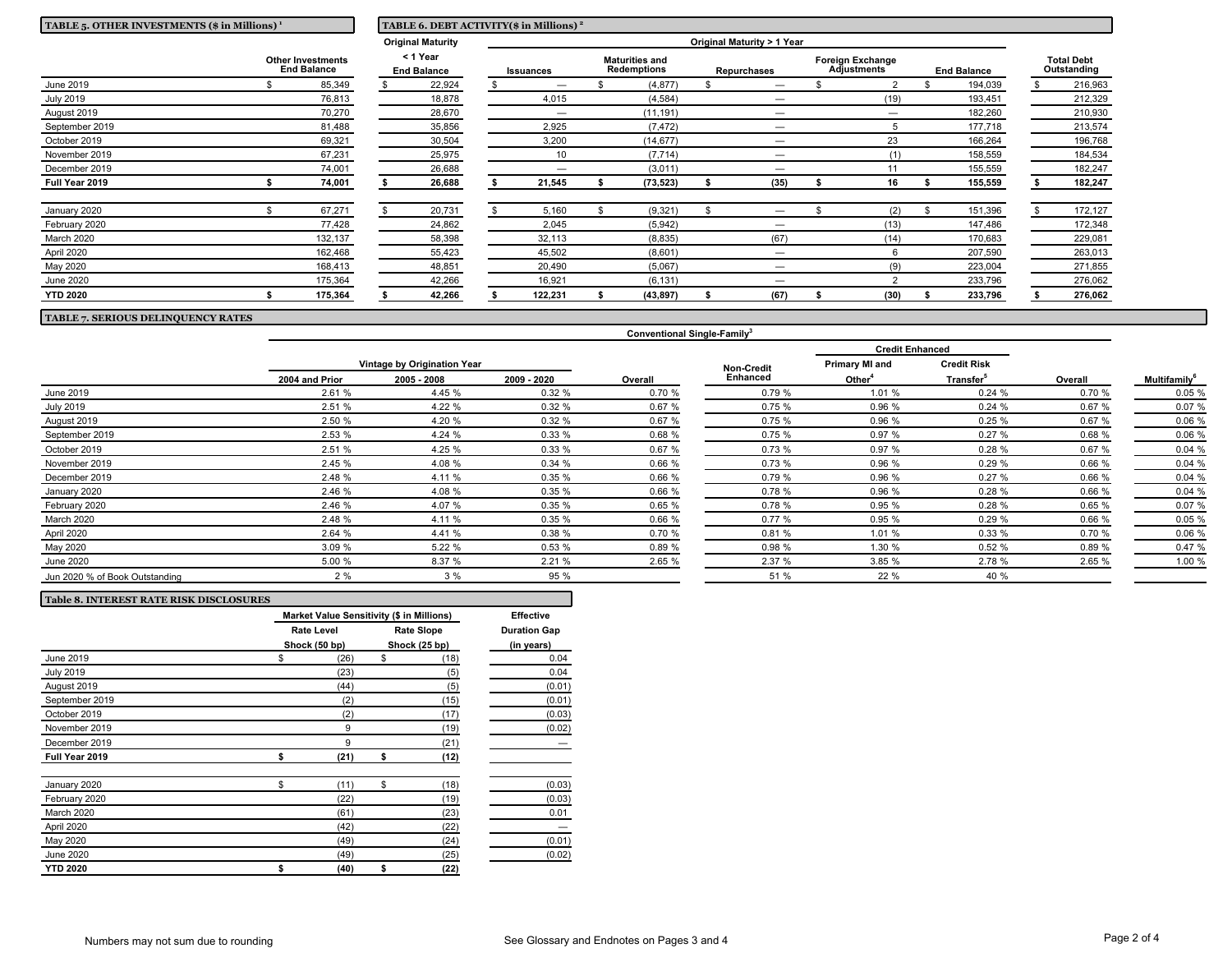| TABLE 5. OTHER INVESTMENTS (\$ in Millions) <sup>1</sup> |  |                                | TABLE 6. DEBT ACTIVITY(\$ in Millions) <sup>2</sup> |           |         |                                             |             |  |                                               |  |                    |  |                                  |  |         |
|----------------------------------------------------------|--|--------------------------------|-----------------------------------------------------|-----------|---------|---------------------------------------------|-------------|--|-----------------------------------------------|--|--------------------|--|----------------------------------|--|---------|
|                                                          |  |                                | <b>Original Maturity</b>                            |           |         |                                             |             |  | Original Maturity > 1 Year                    |  |                    |  |                                  |  |         |
| <b>Other Investments</b><br><b>End Balance</b>           |  | < 1 Year<br><b>End Balance</b> |                                                     | Issuances |         | <b>Maturities and</b><br><b>Redemptions</b> | Repurchases |  | <b>Foreign Exchange</b><br><b>Adjustments</b> |  | <b>End Balance</b> |  | <b>Total Debt</b><br>Outstanding |  |         |
| June 2019                                                |  | 85,349                         | 22,924                                              |           | -       |                                             | (4, 877)    |  | —                                             |  |                    |  | 194,039                          |  | 216,963 |
| <b>July 2019</b>                                         |  | 76,813                         | 18,878                                              |           | 4,015   |                                             | (4, 584)    |  | —                                             |  | (19)               |  | 193,451                          |  | 212,329 |
| August 2019                                              |  | 70,270                         | 28,670                                              |           | –       |                                             | (11, 191)   |  | -                                             |  | —                  |  | 182,260                          |  | 210,930 |
| September 2019                                           |  | 81,488                         | 35,856                                              |           | 2,925   |                                             | (7, 472)    |  | —                                             |  |                    |  | 177,718                          |  | 213,574 |
| October 2019                                             |  | 69,321                         | 30,504                                              |           | 3,200   |                                             | (14, 677)   |  | –                                             |  | 23                 |  | 166,264                          |  | 196,768 |
| November 2019                                            |  | 67,231                         | 25,975                                              |           | 10      |                                             | (7, 714)    |  | -                                             |  | (1)                |  | 158,559                          |  | 184,534 |
| December 2019                                            |  | 74,001                         | 26,688                                              |           | —       |                                             | (3,011)     |  | —                                             |  |                    |  | 155,559                          |  | 182,247 |
| Full Year 2019                                           |  | 74,001                         | 26,688                                              |           | 21,545  |                                             | (73, 523)   |  | (35)                                          |  | 16                 |  | 155,559                          |  | 182,247 |
| January 2020                                             |  | 67,271                         | 20,731                                              |           | 5,160   |                                             | (9, 321)    |  | —                                             |  | (2)                |  | 151,396                          |  | 172,127 |
| February 2020                                            |  | 77,428                         | 24,862                                              |           | 2,045   |                                             | (5, 942)    |  |                                               |  | (13)               |  | 147,486                          |  | 172,348 |
| March 2020                                               |  | 132,137                        | 58,398                                              |           | 32,113  |                                             | (8, 835)    |  | (67)                                          |  | (14)               |  | 170,683                          |  | 229,081 |
| April 2020                                               |  | 162,468                        | 55,423                                              |           | 45,502  |                                             | (8,601)     |  |                                               |  | 6                  |  | 207,590                          |  | 263,013 |
| May 2020                                                 |  | 168,413                        | 48,851                                              |           | 20,490  |                                             | (5,067)     |  |                                               |  | (9)                |  | 223,004                          |  | 271,855 |
| <b>June 2020</b>                                         |  | 175,364                        | 42,266                                              |           | 16,921  |                                             | (6, 131)    |  | —                                             |  | ົ                  |  | 233,796                          |  | 276,062 |
| <b>YTD 2020</b>                                          |  | 175,364                        | 42,266                                              |           | 122,231 |                                             | (43, 897)   |  | (67)                                          |  | (30)               |  | 233,796                          |  | 276,062 |

**TABLE 7. SERIOUS DELINQUENCY RATES**

|                                |                |                             |             |         |                   | <b>Credit Enhanced</b> |                       |         |                                 |
|--------------------------------|----------------|-----------------------------|-------------|---------|-------------------|------------------------|-----------------------|---------|---------------------------------|
|                                |                | Vintage by Origination Year |             |         | <b>Non-Credit</b> | <b>Primary MI and</b>  | <b>Credit Risk</b>    |         |                                 |
|                                | 2004 and Prior | 2005 - 2008                 | 2009 - 2020 | Overall | <b>Enhanced</b>   | Other <sup>4</sup>     | Transfer <sup>5</sup> | Overall | <b>Multifamily</b> <sup>6</sup> |
| June 2019                      | 2.61 %         | 4.45 %                      | 0.32%       | 0.70%   | 0.79%             | 1.01 %                 | 0.24%                 | 0.70 %  | 0.05%                           |
| <b>July 2019</b>               | 2.51 %         | 4.22 %                      | 0.32%       | 0.67%   | 0.75%             | 0.96 %                 | 0.24%                 | 0.67 %  | 0.07%                           |
| August 2019                    | 2.50 %         | 4.20 %                      | 0.32%       | 0.67 %  | 0.75%             | 0.96 %                 | 0.25%                 | 0.67 %  | 0.06%                           |
| September 2019                 | 2.53 %         | 4.24 %                      | 0.33%       | 0.68%   | 0.75%             | 0.97 %                 | 0.27%                 | 0.68 %  | 0.06%                           |
| October 2019                   | 2.51 %         | 4.25 %                      | 0.33%       | 0.67%   | 0.73%             | 0.97 %                 | 0.28%                 | 0.67%   | 0.04%                           |
| November 2019                  | 2.45 %         | 4.08 %                      | 0.34%       | 0.66%   | 0.73%             | 0.96 %                 | 0.29%                 | 0.66 %  | 0.04%                           |
| December 2019                  | 2.48 %         | 4.11 %                      | 0.35%       | 0.66%   | 0.79%             | 0.96%                  | 0.27%                 | 0.66 %  | 0.04%                           |
| January 2020                   | 2.46 %         | 4.08 %                      | 0.35%       | 0.66%   | 0.78%             | 0.96 %                 | 0.28%                 | 0.66 %  | 0.04%                           |
| February 2020                  | 2.46 %         | 4.07 %                      | 0.35%       | 0.65%   | 0.78%             | 0.95 %                 | 0.28%                 | 0.65%   | 0.07%                           |
| March 2020                     | 2.48 %         | 4.11 %                      | 0.35%       | 0.66%   | 0.77%             | 0.95%                  | 0.29%                 | 0.66 %  | 0.05%                           |
| April 2020                     | 2.64 %         | 4.41 %                      | 0.38%       | 0.70%   | 0.81%             | 1.01 %                 | 0.33%                 | 0.70%   | 0.06%                           |
| May 2020                       | 3.09%          | 5.22 %                      | 0.53%       | 0.89%   | 0.98%             | 1.30 %                 | 0.52%                 | 0.89 %  | 0.47%                           |
| June 2020                      | 5.00 %         | 8.37 %                      | 2.21%       | 2.65 %  | 2.37 %            | 3.85 %                 | 2.78 %                | 2.65 %  | 1.00 %                          |
| Jun 2020 % of Book Outstanding | 2%             | 3%                          | 95 %        |         | 51 %              | 22 %                   | 40 %                  |         |                                 |

**Conventional Single-Family<sup>3</sup>**

| <b>Table 8. INTEREST RATE RISK DISCLOSURES</b> |                                           |    |                   |                     |  |  |  |  |
|------------------------------------------------|-------------------------------------------|----|-------------------|---------------------|--|--|--|--|
|                                                | Market Value Sensitivity (\$ in Millions) |    |                   |                     |  |  |  |  |
|                                                | <b>Rate Level</b>                         |    | <b>Rate Slope</b> | <b>Duration Gap</b> |  |  |  |  |
|                                                | Shock (50 bp)                             |    | Shock (25 bp)     | (in years)          |  |  |  |  |
| June 2019                                      | \$<br>(26)                                | \$ | (18)              | 0.04                |  |  |  |  |
| <b>July 2019</b>                               | (23)                                      |    | (5)               | 0.04                |  |  |  |  |
| August 2019                                    | (44)                                      |    | (5)               | (0.01)              |  |  |  |  |
| September 2019                                 | (2)                                       |    | (15)              | (0.01)              |  |  |  |  |
| October 2019                                   | (2)                                       |    | (17)              | (0.03)              |  |  |  |  |
| November 2019                                  | 9                                         |    | (19)              | (0.02)              |  |  |  |  |
| December 2019                                  | 9                                         |    | (21)              |                     |  |  |  |  |
| Full Year 2019                                 | \$<br>(21)                                | \$ | (12)              |                     |  |  |  |  |
| January 2020                                   | \$<br>(11)                                | \$ | (18)              | (0.03)              |  |  |  |  |
| February 2020                                  | (22)                                      |    | (19)              | (0.03)              |  |  |  |  |
| March 2020                                     | (61)                                      |    | (23)              | 0.01                |  |  |  |  |
| April 2020                                     | (42)                                      |    | (22)              |                     |  |  |  |  |
| May 2020                                       | (49)                                      |    | (24)              | (0.01)              |  |  |  |  |
| <b>June 2020</b>                               | (49)                                      |    | (25)              | (0.02)              |  |  |  |  |
| <b>YTD 2020</b>                                | \$<br>(40)                                | \$ | (22)              |                     |  |  |  |  |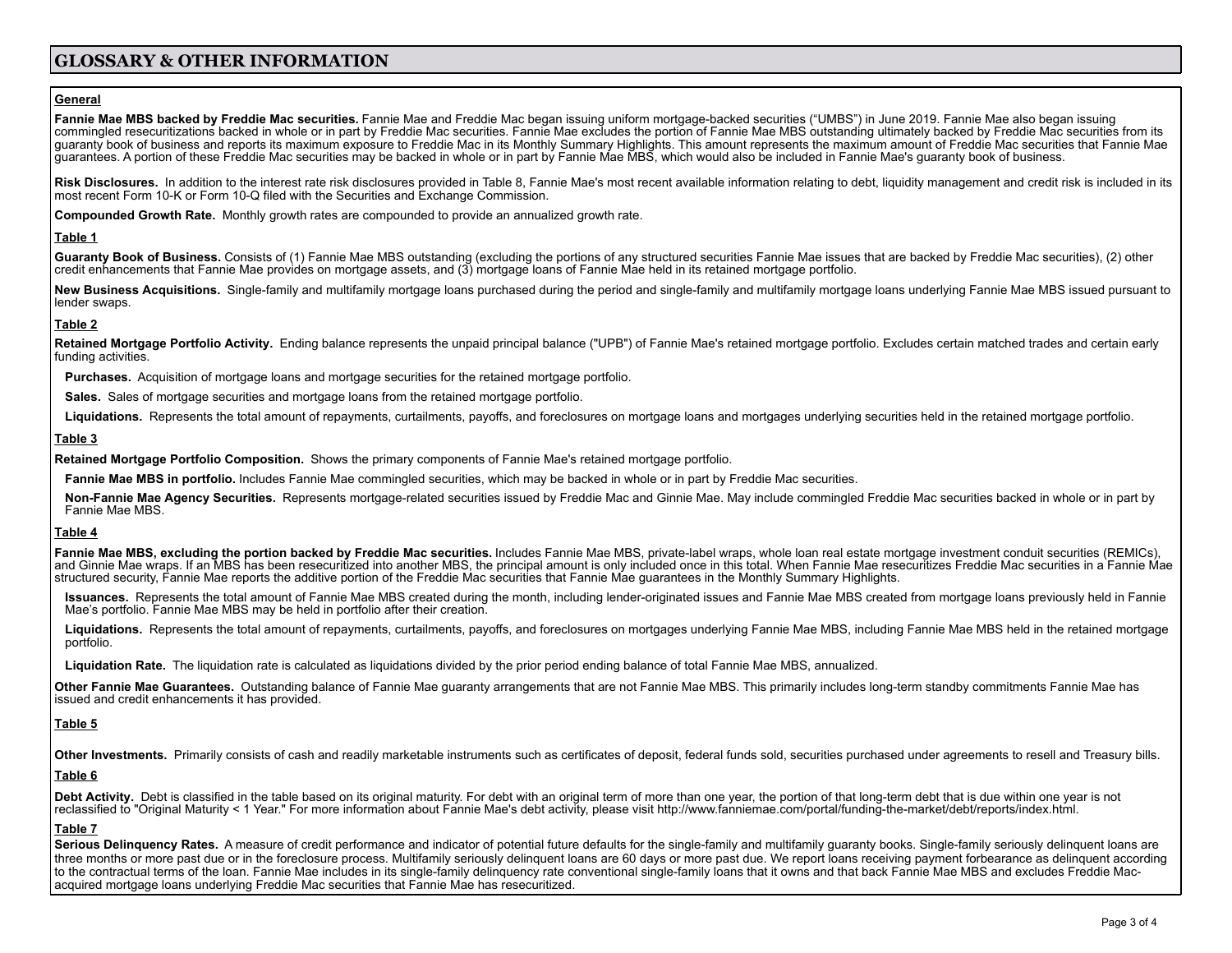# **GLOSSARY & OTHER INFORMATION**

### **General**

Fannie Mae MBS backed by Freddie Mac securities. Fannie Mae and Freddie Mac began issuing uniform mortgage-backed securities ("UMBS") in June 2019. Fannie Mae also began issuing commingled resecuritizations backed in whole or in part by Freddie Mac securities. Fannie Mae excludes the portion of Fannie Mae MBS outstanding ultimately backed by Freddie Mac securities from its guaranty book of business and reports its maximum exposure to Freddie Mac in its Monthly Summary Highlights. This amount represents the maximum amount of Freddie Mac securities that Fannie Mae guarantees. A portion of these Freddie Mac securities may be backed in whole or in part by Fannie Mae MBS, which would also be included in Fannie Mae's guaranty book of business.

Risk Disclosures. In addition to the interest rate risk disclosures provided in Table 8, Fannie Mae's most recent available information relating to debt, liquidity management and credit risk is included in its most recent Form 10-K or Form 10-Q filed with the Securities and Exchange Commission.

**Compounded Growth Rate.** Monthly growth rates are compounded to provide an annualized growth rate.

# **Table 1**

Guaranty Book of Business. Consists of (1) Fannie Mae MBS outstanding (excluding the portions of any structured securities Fannie Mae issues that are backed by Freddie Mac securities), (2) other credit enhancements that Fannie Mae provides on mortgage assets, and (3) mortgage loans of Fannie Mae held in its retained mortgage portfolio.

New Business Acquisitions. Single-family and multifamily mortgage loans purchased during the period and single-family and multifamily mortgage loans underlying Fannie Mae MBS issued pursuant to lender swaps.

# **Table 2**

Retained Mortgage Portfolio Activity. Ending balance represents the unpaid principal balance ("UPB") of Fannie Mae's retained mortgage portfolio. Excludes certain matched trades and certain early funding activities.

**Purchases.** Acquisition of mortgage loans and mortgage securities for the retained mortgage portfolio.

**Sales.** Sales of mortgage securities and mortgage loans from the retained mortgage portfolio.

Liquidations. Represents the total amount of repayments, curtailments, payoffs, and foreclosures on mortgage loans and mortgages underlying securities held in the retained mortgage portfolio.

# **Table 3**

**Retained Mortgage Portfolio Composition.** Shows the primary components of Fannie Mae's retained mortgage portfolio.

**Fannie Mae MBS in portfolio.** Includes Fannie Mae commingled securities, which may be backed in whole or in part by Freddie Mac securities.

**Non-Fannie Mae Agency Securities.** Represents mortgage-related securities issued by Freddie Mac and Ginnie Mae. May include commingled Freddie Mac securities backed in whole or in part by Fannie Mae MBS.

# **Table 4**

Fannie Mae MBS, excluding the portion backed by Freddie Mac securities. Includes Fannie Mae MBS, private-label wraps, whole loan real estate mortgage investment conduit securities (REMICs), and Ginnie Mae wraps. If an MBS has been resecuritized into another MBS, the principal amount is only included once in this total. When Fannie Mae resecuritizes Freddie Mac securities in a Fannie Mae structured security, Fannie Mae reports the additive portion of the Freddie Mac securities that Fannie Mae guarantees in the Monthly Summary Highlights.

**Issuances.** Represents the total amount of Fannie Mae MBS created during the month, including lender-originated issues and Fannie Mae MBS created from mortgage loans previously held in Fannie Mae's portfolio. Fannie Mae MBS may be held in portfolio after their creation.

Liquidations. Represents the total amount of repayments, curtailments, payoffs, and foreclosures on mortgages underlying Fannie Mae MBS, including Fannie Mae MBS held in the retained mortgage portfolio.

**Liquidation Rate.** The liquidation rate is calculated as liquidations divided by the prior period ending balance of total Fannie Mae MBS, annualized.

**Other Fannie Mae Guarantees.** Outstanding balance of Fannie Mae guaranty arrangements that are not Fannie Mae MBS. This primarily includes long-term standby commitments Fannie Mae has issued and credit enhancements it has provided.

# **Table 5**

Other Investments. Primarily consists of cash and readily marketable instruments such as certificates of deposit, federal funds sold, securities purchased under agreements to resell and Treasury bills.

# **Table 6**

Debt Activity. Debt is classified in the table based on its original maturity. For debt with an original term of more than one year, the portion of that long-term debt that is due within one year is not reclassified to "Original Maturity < 1 Year." For more information about Fannie Mae's debt activity, please visit http://www.fanniemae.com/portal/funding-the-market/debt/reports/index.html.

# **Table 7**

Serious Delinguency Rates. A measure of credit performance and indicator of potential future defaults for the single-family and multifamily quaranty books. Single-family seriously delinquent loans are three months or more past due or in the foreclosure process. Multifamily seriously delinquent loans are 60 days or more past due. We report loans receiving payment forbearance as delinquent according to the contractual terms of the loan. Fannie Mae includes in its single-family delinquency rate conventional single-family loans that it owns and that back Fannie Mae MBS and excludes Freddie Macacquired mortgage loans underlying Freddie Mac securities that Fannie Mae has resecuritized.